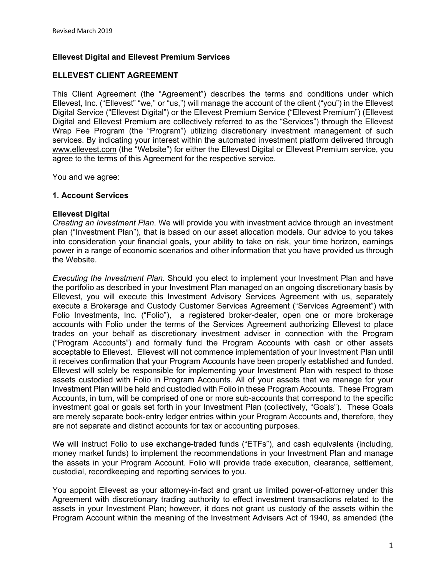# **Ellevest Digital and Ellevest Premium Services**

## **ELLEVEST CLIENT AGREEMENT**

This Client Agreement (the "Agreement") describes the terms and conditions under which Ellevest, Inc. ("Ellevest" "we," or "us,") will manage the account of the client ("you") in the Ellevest Digital Service ("Ellevest Digital") or the Ellevest Premium Service ("Ellevest Premium") (Ellevest Digital and Ellevest Premium are collectively referred to as the "Services") through the Ellevest Wrap Fee Program (the "Program") utilizing discretionary investment management of such services. By indicating your interest within the automated investment platform delivered through www.ellevest.com (the "Website") for either the Ellevest Digital or Ellevest Premium service, you agree to the terms of this Agreement for the respective service.

You and we agree:

### **1. Account Services**

#### **Ellevest Digital**

*Creating an Investment Plan*. We will provide you with investment advice through an investment plan ("Investment Plan"), that is based on our asset allocation models. Our advice to you takes into consideration your financial goals, your ability to take on risk, your time horizon, earnings power in a range of economic scenarios and other information that you have provided us through the Website.

*Executing the Investment Plan*. Should you elect to implement your Investment Plan and have the portfolio as described in your Investment Plan managed on an ongoing discretionary basis by Ellevest, you will execute this Investment Advisory Services Agreement with us, separately execute a Brokerage and Custody Customer Services Agreement ("Services Agreement") with Folio Investments, Inc. ("Folio"), a registered broker-dealer, open one or more brokerage accounts with Folio under the terms of the Services Agreement authorizing Ellevest to place trades on your behalf as discretionary investment adviser in connection with the Program ("Program Accounts") and formally fund the Program Accounts with cash or other assets acceptable to Ellevest. Ellevest will not commence implementation of your Investment Plan until it receives confirmation that your Program Accounts have been properly established and funded. Ellevest will solely be responsible for implementing your Investment Plan with respect to those assets custodied with Folio in Program Accounts. All of your assets that we manage for your Investment Plan will be held and custodied with Folio in these Program Accounts. These Program Accounts, in turn, will be comprised of one or more sub-accounts that correspond to the specific investment goal or goals set forth in your Investment Plan (collectively, "Goals"). These Goals are merely separate book-entry ledger entries within your Program Accounts and, therefore, they are not separate and distinct accounts for tax or accounting purposes.

We will instruct Folio to use exchange-traded funds ("ETFs"), and cash equivalents (including, money market funds) to implement the recommendations in your Investment Plan and manage the assets in your Program Account. Folio will provide trade execution, clearance, settlement, custodial, recordkeeping and reporting services to you.

You appoint Ellevest as your attorney-in-fact and grant us limited power-of-attorney under this Agreement with discretionary trading authority to effect investment transactions related to the assets in your Investment Plan; however, it does not grant us custody of the assets within the Program Account within the meaning of the Investment Advisers Act of 1940, as amended (the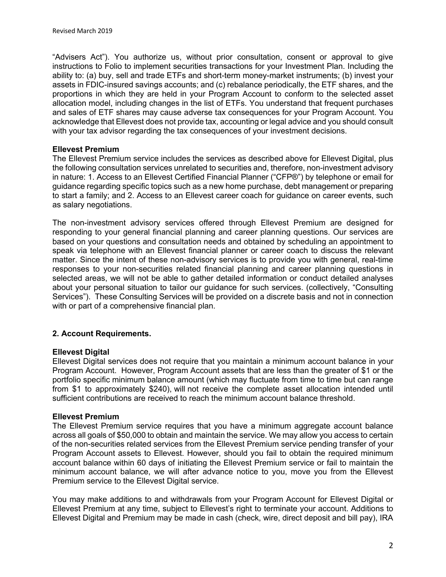"Advisers Act"). You authorize us, without prior consultation, consent or approval to give instructions to Folio to implement securities transactions for your Investment Plan. Including the ability to: (a) buy, sell and trade ETFs and short-term money-market instruments; (b) invest your assets in FDIC-insured savings accounts; and (c) rebalance periodically, the ETF shares, and the proportions in which they are held in your Program Account to conform to the selected asset allocation model, including changes in the list of ETFs. You understand that frequent purchases and sales of ETF shares may cause adverse tax consequences for your Program Account. You acknowledge that Ellevest does not provide tax, accounting or legal advice and you should consult with your tax advisor regarding the tax consequences of your investment decisions.

#### **Ellevest Premium**

The Ellevest Premium service includes the services as described above for Ellevest Digital, plus the following consultation services unrelated to securities and, therefore, non-investment advisory in nature: 1. Access to an Ellevest Certified Financial Planner ("CFP®") by telephone or email for guidance regarding specific topics such as a new home purchase, debt management or preparing to start a family; and 2. Access to an Ellevest career coach for guidance on career events, such as salary negotiations.

The non-investment advisory services offered through Ellevest Premium are designed for responding to your general financial planning and career planning questions. Our services are based on your questions and consultation needs and obtained by scheduling an appointment to speak via telephone with an Ellevest financial planner or career coach to discuss the relevant matter. Since the intent of these non-advisory services is to provide you with general, real-time responses to your non-securities related financial planning and career planning questions in selected areas, we will not be able to gather detailed information or conduct detailed analyses about your personal situation to tailor our guidance for such services. (collectively, "Consulting Services"). These Consulting Services will be provided on a discrete basis and not in connection with or part of a comprehensive financial plan.

### **2. Account Requirements.**

#### **Ellevest Digital**

Ellevest Digital services does not require that you maintain a minimum account balance in your Program Account. However, Program Account assets that are less than the greater of \$1 or the portfolio specific minimum balance amount (which may fluctuate from time to time but can range from \$1 to approximately \$240), will not receive the complete asset allocation intended until sufficient contributions are received to reach the minimum account balance threshold.

#### **Ellevest Premium**

The Ellevest Premium service requires that you have a minimum aggregate account balance across all goals of \$50,000 to obtain and maintain the service. We may allow you access to certain of the non-securities related services from the Ellevest Premium service pending transfer of your Program Account assets to Ellevest. However, should you fail to obtain the required minimum account balance within 60 days of initiating the Ellevest Premium service or fail to maintain the minimum account balance, we will after advance notice to you, move you from the Ellevest Premium service to the Ellevest Digital service.

You may make additions to and withdrawals from your Program Account for Ellevest Digital or Ellevest Premium at any time, subject to Ellevest's right to terminate your account. Additions to Ellevest Digital and Premium may be made in cash (check, wire, direct deposit and bill pay), IRA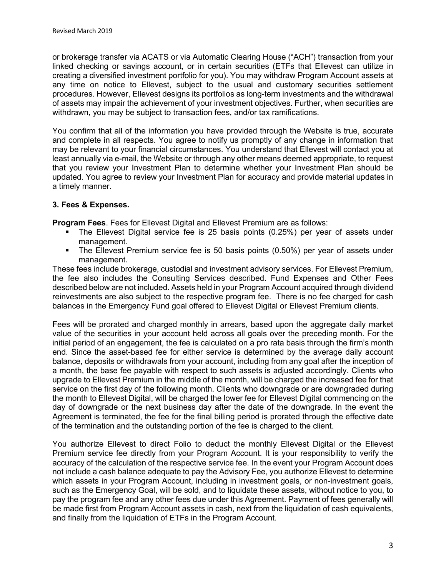or brokerage transfer via ACATS or via Automatic Clearing House ("ACH") transaction from your linked checking or savings account, or in certain securities (ETFs that Ellevest can utilize in creating a diversified investment portfolio for you). You may withdraw Program Account assets at any time on notice to Ellevest, subject to the usual and customary securities settlement procedures. However, Ellevest designs its portfolios as long-term investments and the withdrawal of assets may impair the achievement of your investment objectives. Further, when securities are withdrawn, you may be subject to transaction fees, and/or tax ramifications.

You confirm that all of the information you have provided through the Website is true, accurate and complete in all respects. You agree to notify us promptly of any change in information that may be relevant to your financial circumstances. You understand that Ellevest will contact you at least annually via e-mail, the Website or through any other means deemed appropriate, to request that you review your Investment Plan to determine whether your Investment Plan should be updated. You agree to review your Investment Plan for accuracy and provide material updates in a timely manner.

### **3. Fees & Expenses.**

**Program Fees**. Fees for Ellevest Digital and Ellevest Premium are as follows:

- § The Ellevest Digital service fee is 25 basis points (0.25%) per year of assets under management.
- The Ellevest Premium service fee is 50 basis points (0.50%) per year of assets under management.

These fees include brokerage, custodial and investment advisory services. For Ellevest Premium, the fee also includes the Consulting Services described. Fund Expenses and Other Fees described below are not included. Assets held in your Program Account acquired through dividend reinvestments are also subject to the respective program fee. There is no fee charged for cash balances in the Emergency Fund goal offered to Ellevest Digital or Ellevest Premium clients.

Fees will be prorated and charged monthly in arrears, based upon the aggregate daily market value of the securities in your account held across all goals over the preceding month. For the initial period of an engagement, the fee is calculated on a pro rata basis through the firm's month end. Since the asset-based fee for either service is determined by the average daily account balance, deposits or withdrawals from your account, including from any goal after the inception of a month, the base fee payable with respect to such assets is adjusted accordingly. Clients who upgrade to Ellevest Premium in the middle of the month, will be charged the increased fee for that service on the first day of the following month. Clients who downgrade or are downgraded during the month to Ellevest Digital, will be charged the lower fee for Ellevest Digital commencing on the day of downgrade or the next business day after the date of the downgrade. In the event the Agreement is terminated, the fee for the final billing period is prorated through the effective date of the termination and the outstanding portion of the fee is charged to the client.

You authorize Ellevest to direct Folio to deduct the monthly Ellevest Digital or the Ellevest Premium service fee directly from your Program Account. It is your responsibility to verify the accuracy of the calculation of the respective service fee. In the event your Program Account does not include a cash balance adequate to pay the Advisory Fee, you authorize Ellevest to determine which assets in your Program Account, including in investment goals, or non-investment goals, such as the Emergency Goal, will be sold, and to liquidate these assets, without notice to you, to pay the program fee and any other fees due under this Agreement. Payment of fees generally will be made first from Program Account assets in cash, next from the liquidation of cash equivalents, and finally from the liquidation of ETFs in the Program Account.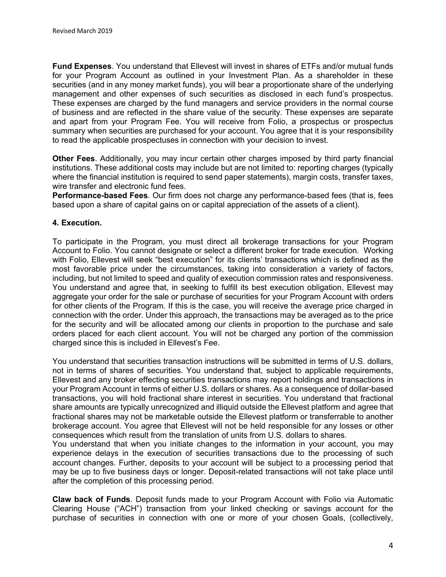**Fund Expenses**. You understand that Ellevest will invest in shares of ETFs and/or mutual funds for your Program Account as outlined in your Investment Plan. As a shareholder in these securities (and in any money market funds), you will bear a proportionate share of the underlying management and other expenses of such securities as disclosed in each fund's prospectus. These expenses are charged by the fund managers and service providers in the normal course of business and are reflected in the share value of the security. These expenses are separate and apart from your Program Fee. You will receive from Folio, a prospectus or prospectus summary when securities are purchased for your account. You agree that it is your responsibility to read the applicable prospectuses in connection with your decision to invest.

**Other Fees**. Additionally, you may incur certain other charges imposed by third party financial institutions. These additional costs may include but are not limited to: reporting charges (typically where the financial institution is required to send paper statements), margin costs, transfer taxes, wire transfer and electronic fund fees.

**Performance-based Fees**. Our firm does not charge any performance-based fees (that is, fees based upon a share of capital gains on or capital appreciation of the assets of a client).

### **4. Execution.**

To participate in the Program, you must direct all brokerage transactions for your Program Account to Folio. You cannot designate or select a different broker for trade execution. Working with Folio, Ellevest will seek "best execution" for its clients' transactions which is defined as the most favorable price under the circumstances, taking into consideration a variety of factors, including, but not limited to speed and quality of execution commission rates and responsiveness. You understand and agree that, in seeking to fulfill its best execution obligation, Ellevest may aggregate your order for the sale or purchase of securities for your Program Account with orders for other clients of the Program. If this is the case, you will receive the average price charged in connection with the order. Under this approach, the transactions may be averaged as to the price for the security and will be allocated among our clients in proportion to the purchase and sale orders placed for each client account. You will not be charged any portion of the commission charged since this is included in Ellevest's Fee.

You understand that securities transaction instructions will be submitted in terms of U.S. dollars, not in terms of shares of securities. You understand that, subject to applicable requirements, Ellevest and any broker effecting securities transactions may report holdings and transactions in your Program Account in terms of either U.S. dollars or shares. As a consequence of dollar-based transactions, you will hold fractional share interest in securities. You understand that fractional share amounts are typically unrecognized and illiquid outside the Ellevest platform and agree that fractional shares may not be marketable outside the Ellevest platform or transferrable to another brokerage account. You agree that Ellevest will not be held responsible for any losses or other consequences which result from the translation of units from U.S. dollars to shares.

You understand that when you initiate changes to the information in your account, you may experience delays in the execution of securities transactions due to the processing of such account changes. Further, deposits to your account will be subject to a processing period that may be up to five business days or longer. Deposit-related transactions will not take place until after the completion of this processing period.

**Claw back of Funds**. Deposit funds made to your Program Account with Folio via Automatic Clearing House ("ACH") transaction from your linked checking or savings account for the purchase of securities in connection with one or more of your chosen Goals, (collectively,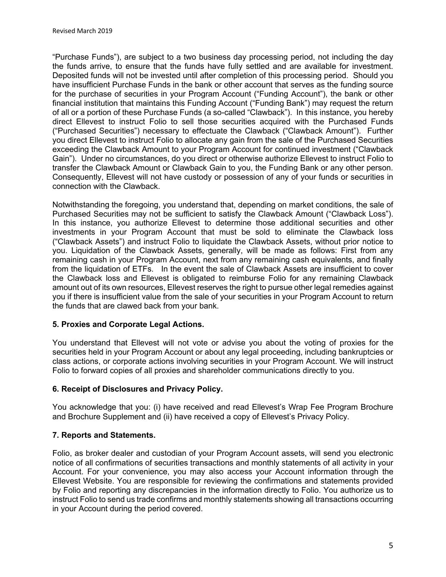"Purchase Funds"), are subject to a two business day processing period, not including the day the funds arrive, to ensure that the funds have fully settled and are available for investment. Deposited funds will not be invested until after completion of this processing period. Should you have insufficient Purchase Funds in the bank or other account that serves as the funding source for the purchase of securities in your Program Account ("Funding Account"), the bank or other financial institution that maintains this Funding Account ("Funding Bank") may request the return of all or a portion of these Purchase Funds (a so-called "Clawback"). In this instance, you hereby direct Ellevest to instruct Folio to sell those securities acquired with the Purchased Funds ("Purchased Securities") necessary to effectuate the Clawback ("Clawback Amount"). Further you direct Ellevest to instruct Folio to allocate any gain from the sale of the Purchased Securities exceeding the Clawback Amount to your Program Account for continued investment ("Clawback Gain"). Under no circumstances, do you direct or otherwise authorize Ellevest to instruct Folio to transfer the Clawback Amount or Clawback Gain to you, the Funding Bank or any other person. Consequently, Ellevest will not have custody or possession of any of your funds or securities in connection with the Clawback.

Notwithstanding the foregoing, you understand that, depending on market conditions, the sale of Purchased Securities may not be sufficient to satisfy the Clawback Amount ("Clawback Loss"). In this instance, you authorize Ellevest to determine those additional securities and other investments in your Program Account that must be sold to eliminate the Clawback loss ("Clawback Assets") and instruct Folio to liquidate the Clawback Assets, without prior notice to you. Liquidation of the Clawback Assets, generally, will be made as follows: First from any remaining cash in your Program Account, next from any remaining cash equivalents, and finally from the liquidation of ETFs. In the event the sale of Clawback Assets are insufficient to cover the Clawback loss and Ellevest is obligated to reimburse Folio for any remaining Clawback amount out of its own resources, Ellevest reserves the right to pursue other legal remedies against you if there is insufficient value from the sale of your securities in your Program Account to return the funds that are clawed back from your bank.

### **5. Proxies and Corporate Legal Actions.**

You understand that Ellevest will not vote or advise you about the voting of proxies for the securities held in your Program Account or about any legal proceeding, including bankruptcies or class actions, or corporate actions involving securities in your Program Account. We will instruct Folio to forward copies of all proxies and shareholder communications directly to you.

### **6. Receipt of Disclosures and Privacy Policy.**

You acknowledge that you: (i) have received and read Ellevest's Wrap Fee Program Brochure and Brochure Supplement and (ii) have received a copy of Ellevest's Privacy Policy.

### **7. Reports and Statements.**

Folio, as broker dealer and custodian of your Program Account assets, will send you electronic notice of all confirmations of securities transactions and monthly statements of all activity in your Account. For your convenience, you may also access your Account information through the Ellevest Website. You are responsible for reviewing the confirmations and statements provided by Folio and reporting any discrepancies in the information directly to Folio. You authorize us to instruct Folio to send us trade confirms and monthly statements showing all transactions occurring in your Account during the period covered.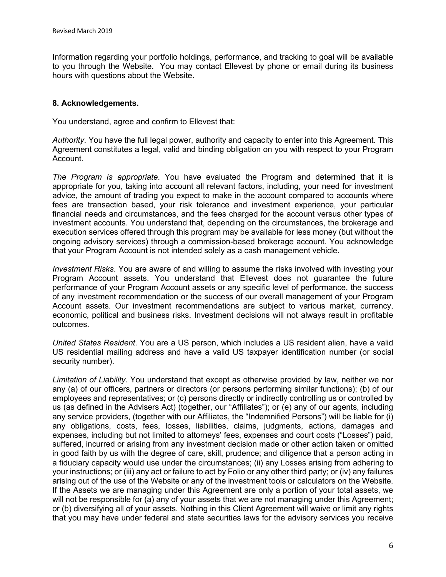Information regarding your portfolio holdings, performance, and tracking to goal will be available to you through the Website. You may contact Ellevest by phone or email during its business hours with questions about the Website.

### **8. Acknowledgements.**

You understand, agree and confirm to Ellevest that:

*Authority*. You have the full legal power, authority and capacity to enter into this Agreement. This Agreement constitutes a legal, valid and binding obligation on you with respect to your Program Account.

*The Program is appropriate*. You have evaluated the Program and determined that it is appropriate for you, taking into account all relevant factors, including, your need for investment advice, the amount of trading you expect to make in the account compared to accounts where fees are transaction based, your risk tolerance and investment experience, your particular financial needs and circumstances, and the fees charged for the account versus other types of investment accounts. You understand that, depending on the circumstances, the brokerage and execution services offered through this program may be available for less money (but without the ongoing advisory services) through a commission-based brokerage account. You acknowledge that your Program Account is not intended solely as a cash management vehicle.

*Investment Risks*. You are aware of and willing to assume the risks involved with investing your Program Account assets. You understand that Ellevest does not guarantee the future performance of your Program Account assets or any specific level of performance, the success of any investment recommendation or the success of our overall management of your Program Account assets. Our investment recommendations are subject to various market, currency, economic, political and business risks. Investment decisions will not always result in profitable outcomes.

*United States Resident*. You are a US person, which includes a US resident alien, have a valid US residential mailing address and have a valid US taxpayer identification number (or social security number).

*Limitation of Liability*. You understand that except as otherwise provided by law, neither we nor any (a) of our officers, partners or directors (or persons performing similar functions); (b) of our employees and representatives; or (c) persons directly or indirectly controlling us or controlled by us (as defined in the Advisers Act) (together, our "Affiliates"); or (e) any of our agents, including any service providers, (together with our Affiliates, the "Indemnified Persons") will be liable for (i) any obligations, costs, fees, losses, liabilities, claims, judgments, actions, damages and expenses, including but not limited to attorneys' fees, expenses and court costs ("Losses") paid, suffered, incurred or arising from any investment decision made or other action taken or omitted in good faith by us with the degree of care, skill, prudence; and diligence that a person acting in a fiduciary capacity would use under the circumstances; (ii) any Losses arising from adhering to your instructions; or (iii) any act or failure to act by Folio or any other third party; or (iv) any failures arising out of the use of the Website or any of the investment tools or calculators on the Website. If the Assets we are managing under this Agreement are only a portion of your total assets, we will not be responsible for (a) any of your assets that we are not managing under this Agreement; or (b) diversifying all of your assets. Nothing in this Client Agreement will waive or limit any rights that you may have under federal and state securities laws for the advisory services you receive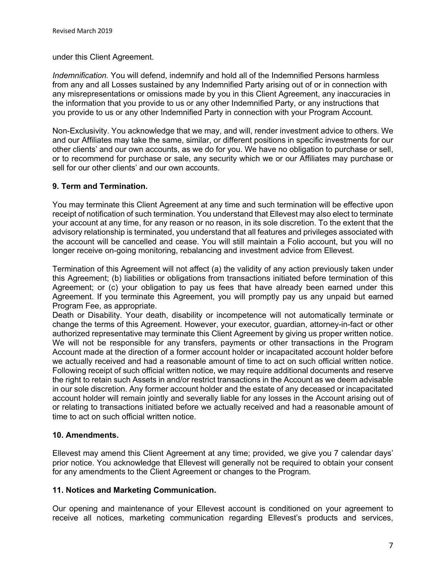under this Client Agreement.

*Indemnification.* You will defend, indemnify and hold all of the Indemnified Persons harmless from any and all Losses sustained by any Indemnified Party arising out of or in connection with any misrepresentations or omissions made by you in this Client Agreement, any inaccuracies in the information that you provide to us or any other Indemnified Party, or any instructions that you provide to us or any other Indemnified Party in connection with your Program Account.

Non-Exclusivity. You acknowledge that we may, and will, render investment advice to others. We and our Affiliates may take the same, similar, or different positions in specific investments for our other clients' and our own accounts, as we do for you. We have no obligation to purchase or sell, or to recommend for purchase or sale, any security which we or our Affiliates may purchase or sell for our other clients' and our own accounts.

### **9. Term and Termination.**

You may terminate this Client Agreement at any time and such termination will be effective upon receipt of notification of such termination. You understand that Ellevest may also elect to terminate your account at any time, for any reason or no reason, in its sole discretion. To the extent that the advisory relationship is terminated, you understand that all features and privileges associated with the account will be cancelled and cease. You will still maintain a Folio account, but you will no longer receive on-going monitoring, rebalancing and investment advice from Ellevest.

Termination of this Agreement will not affect (a) the validity of any action previously taken under this Agreement; (b) liabilities or obligations from transactions initiated before termination of this Agreement; or (c) your obligation to pay us fees that have already been earned under this Agreement. If you terminate this Agreement, you will promptly pay us any unpaid but earned Program Fee, as appropriate.

Death or Disability. Your death, disability or incompetence will not automatically terminate or change the terms of this Agreement. However, your executor, guardian, attorney-in-fact or other authorized representative may terminate this Client Agreement by giving us proper written notice. We will not be responsible for any transfers, payments or other transactions in the Program Account made at the direction of a former account holder or incapacitated account holder before we actually received and had a reasonable amount of time to act on such official written notice. Following receipt of such official written notice, we may require additional documents and reserve the right to retain such Assets in and/or restrict transactions in the Account as we deem advisable in our sole discretion. Any former account holder and the estate of any deceased or incapacitated account holder will remain jointly and severally liable for any losses in the Account arising out of or relating to transactions initiated before we actually received and had a reasonable amount of time to act on such official written notice.

### **10. Amendments.**

Ellevest may amend this Client Agreement at any time; provided, we give you 7 calendar days' prior notice. You acknowledge that Ellevest will generally not be required to obtain your consent for any amendments to the Client Agreement or changes to the Program.

### **11. Notices and Marketing Communication.**

Our opening and maintenance of your Ellevest account is conditioned on your agreement to receive all notices, marketing communication regarding Ellevest's products and services,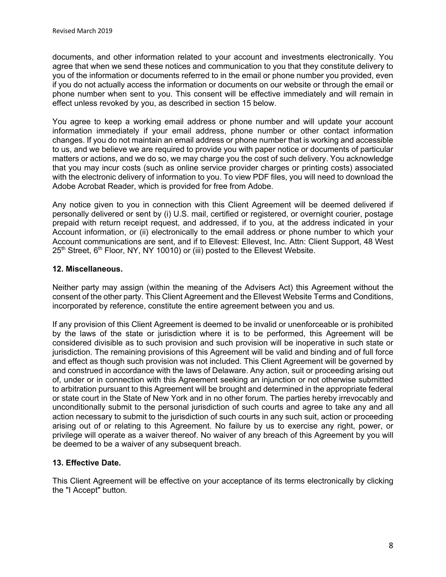documents, and other information related to your account and investments electronically. You agree that when we send these notices and communication to you that they constitute delivery to you of the information or documents referred to in the email or phone number you provided, even if you do not actually access the information or documents on our website or through the email or phone number when sent to you. This consent will be effective immediately and will remain in effect unless revoked by you, as described in section 15 below.

You agree to keep a working email address or phone number and will update your account information immediately if your email address, phone number or other contact information changes. If you do not maintain an email address or phone number that is working and accessible to us, and we believe we are required to provide you with paper notice or documents of particular matters or actions, and we do so, we may charge you the cost of such delivery. You acknowledge that you may incur costs (such as online service provider charges or printing costs) associated with the electronic delivery of information to you. To view PDF files, you will need to download the Adobe Acrobat Reader, which is provided for free from Adobe.

Any notice given to you in connection with this Client Agreement will be deemed delivered if personally delivered or sent by (i) U.S. mail, certified or registered, or overnight courier, postage prepaid with return receipt request, and addressed, if to you, at the address indicated in your Account information, or (ii) electronically to the email address or phone number to which your Account communications are sent, and if to Ellevest: Ellevest, Inc. Attn: Client Support, 48 West  $25<sup>th</sup>$  Street,  $6<sup>th</sup>$  Floor, NY, NY 10010) or (iii) posted to the Ellevest Website.

## **12. Miscellaneous.**

Neither party may assign (within the meaning of the Advisers Act) this Agreement without the consent of the other party. This Client Agreement and the Ellevest Website Terms and Conditions, incorporated by reference, constitute the entire agreement between you and us.

If any provision of this Client Agreement is deemed to be invalid or unenforceable or is prohibited by the laws of the state or jurisdiction where it is to be performed, this Agreement will be considered divisible as to such provision and such provision will be inoperative in such state or jurisdiction. The remaining provisions of this Agreement will be valid and binding and of full force and effect as though such provision was not included. This Client Agreement will be governed by and construed in accordance with the laws of Delaware. Any action, suit or proceeding arising out of, under or in connection with this Agreement seeking an injunction or not otherwise submitted to arbitration pursuant to this Agreement will be brought and determined in the appropriate federal or state court in the State of New York and in no other forum. The parties hereby irrevocably and unconditionally submit to the personal jurisdiction of such courts and agree to take any and all action necessary to submit to the jurisdiction of such courts in any such suit, action or proceeding arising out of or relating to this Agreement. No failure by us to exercise any right, power, or privilege will operate as a waiver thereof. No waiver of any breach of this Agreement by you will be deemed to be a waiver of any subsequent breach.

# **13. Effective Date.**

This Client Agreement will be effective on your acceptance of its terms electronically by clicking the "I Accept" button.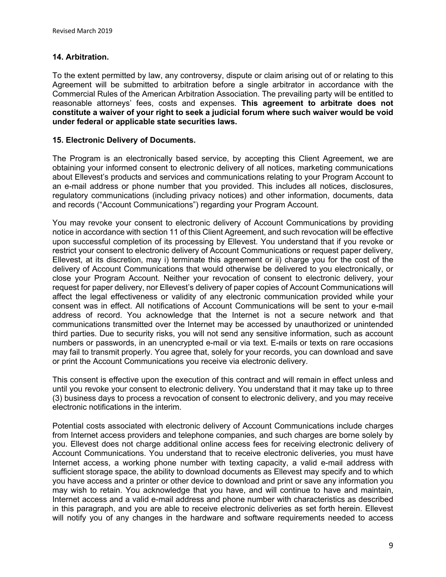## **14. Arbitration.**

To the extent permitted by law, any controversy, dispute or claim arising out of or relating to this Agreement will be submitted to arbitration before a single arbitrator in accordance with the Commercial Rules of the American Arbitration Association. The prevailing party will be entitled to reasonable attorneys' fees, costs and expenses. **This agreement to arbitrate does not constitute a waiver of your right to seek a judicial forum where such waiver would be void under federal or applicable state securities laws.** 

## **15. Electronic Delivery of Documents.**

The Program is an electronically based service, by accepting this Client Agreement, we are obtaining your informed consent to electronic delivery of all notices, marketing communications about Ellevest's products and services and communications relating to your Program Account to an e-mail address or phone number that you provided. This includes all notices, disclosures, regulatory communications (including privacy notices) and other information, documents, data and records ("Account Communications") regarding your Program Account.

You may revoke your consent to electronic delivery of Account Communications by providing notice in accordance with section 11 of this Client Agreement, and such revocation will be effective upon successful completion of its processing by Ellevest. You understand that if you revoke or restrict your consent to electronic delivery of Account Communications or request paper delivery, Ellevest, at its discretion, may i) terminate this agreement or ii) charge you for the cost of the delivery of Account Communications that would otherwise be delivered to you electronically, or close your Program Account. Neither your revocation of consent to electronic delivery, your request for paper delivery, nor Ellevest's delivery of paper copies of Account Communications will affect the legal effectiveness or validity of any electronic communication provided while your consent was in effect. All notifications of Account Communications will be sent to your e-mail address of record. You acknowledge that the Internet is not a secure network and that communications transmitted over the Internet may be accessed by unauthorized or unintended third parties. Due to security risks, you will not send any sensitive information, such as account numbers or passwords, in an unencrypted e-mail or via text. E-mails or texts on rare occasions may fail to transmit properly. You agree that, solely for your records, you can download and save or print the Account Communications you receive via electronic delivery.

This consent is effective upon the execution of this contract and will remain in effect unless and until you revoke your consent to electronic delivery. You understand that it may take up to three (3) business days to process a revocation of consent to electronic delivery, and you may receive electronic notifications in the interim.

Potential costs associated with electronic delivery of Account Communications include charges from Internet access providers and telephone companies, and such charges are borne solely by you. Ellevest does not charge additional online access fees for receiving electronic delivery of Account Communications. You understand that to receive electronic deliveries, you must have Internet access, a working phone number with texting capacity, a valid e-mail address with sufficient storage space, the ability to download documents as Ellevest may specify and to which you have access and a printer or other device to download and print or save any information you may wish to retain. You acknowledge that you have, and will continue to have and maintain, Internet access and a valid e-mail address and phone number with characteristics as described in this paragraph, and you are able to receive electronic deliveries as set forth herein. Ellevest will notify you of any changes in the hardware and software requirements needed to access